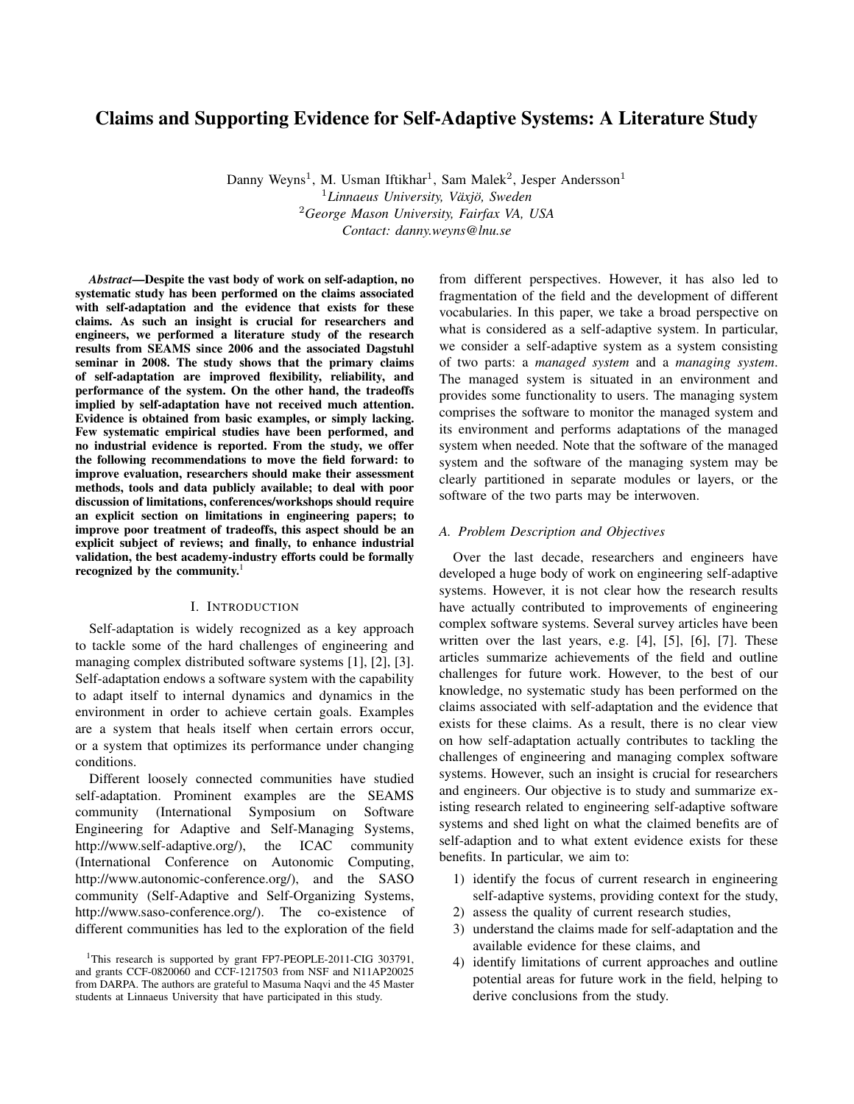# Claims and Supporting Evidence for Self-Adaptive Systems: A Literature Study

Danny Weyns<sup>1</sup>, M. Usman Iftikhar<sup>1</sup>, Sam Malek<sup>2</sup>, Jesper Andersson<sup>1</sup> <sup>1</sup>Linnaeus University, Växjö, Sweden <sup>2</sup>*George Mason University, Fairfax VA, USA Contact: danny.weyns@lnu.se*

*Abstract*—Despite the vast body of work on self-adaption, no systematic study has been performed on the claims associated with self-adaptation and the evidence that exists for these claims. As such an insight is crucial for researchers and engineers, we performed a literature study of the research results from SEAMS since 2006 and the associated Dagstuhl seminar in 2008. The study shows that the primary claims of self-adaptation are improved flexibility, reliability, and performance of the system. On the other hand, the tradeoffs implied by self-adaptation have not received much attention. Evidence is obtained from basic examples, or simply lacking. Few systematic empirical studies have been performed, and no industrial evidence is reported. From the study, we offer the following recommendations to move the field forward: to improve evaluation, researchers should make their assessment methods, tools and data publicly available; to deal with poor discussion of limitations, conferences/workshops should require an explicit section on limitations in engineering papers; to improve poor treatment of tradeoffs, this aspect should be an explicit subject of reviews; and finally, to enhance industrial validation, the best academy-industry efforts could be formally recognized by the community.<sup>1</sup>

## I. INTRODUCTION

Self-adaptation is widely recognized as a key approach to tackle some of the hard challenges of engineering and managing complex distributed software systems [1], [2], [3]. Self-adaptation endows a software system with the capability to adapt itself to internal dynamics and dynamics in the environment in order to achieve certain goals. Examples are a system that heals itself when certain errors occur, or a system that optimizes its performance under changing conditions.

Different loosely connected communities have studied self-adaptation. Prominent examples are the SEAMS community (International Symposium on Software Engineering for Adaptive and Self-Managing Systems, http://www.self-adaptive.org/), the ICAC community (International Conference on Autonomic Computing, http://www.autonomic-conference.org/), and the SASO community (Self-Adaptive and Self-Organizing Systems, http://www.saso-conference.org/). The co-existence of different communities has led to the exploration of the field from different perspectives. However, it has also led to fragmentation of the field and the development of different vocabularies. In this paper, we take a broad perspective on what is considered as a self-adaptive system. In particular, we consider a self-adaptive system as a system consisting of two parts: a *managed system* and a *managing system*. The managed system is situated in an environment and provides some functionality to users. The managing system comprises the software to monitor the managed system and its environment and performs adaptations of the managed system when needed. Note that the software of the managed system and the software of the managing system may be clearly partitioned in separate modules or layers, or the software of the two parts may be interwoven.

### *A. Problem Description and Objectives*

Over the last decade, researchers and engineers have developed a huge body of work on engineering self-adaptive systems. However, it is not clear how the research results have actually contributed to improvements of engineering complex software systems. Several survey articles have been written over the last years, e.g. [4], [5], [6], [7]. These articles summarize achievements of the field and outline challenges for future work. However, to the best of our knowledge, no systematic study has been performed on the claims associated with self-adaptation and the evidence that exists for these claims. As a result, there is no clear view on how self-adaptation actually contributes to tackling the challenges of engineering and managing complex software systems. However, such an insight is crucial for researchers and engineers. Our objective is to study and summarize existing research related to engineering self-adaptive software systems and shed light on what the claimed benefits are of self-adaption and to what extent evidence exists for these benefits. In particular, we aim to:

- 1) identify the focus of current research in engineering self-adaptive systems, providing context for the study,
- 2) assess the quality of current research studies,
- 3) understand the claims made for self-adaptation and the available evidence for these claims, and
- 4) identify limitations of current approaches and outline potential areas for future work in the field, helping to derive conclusions from the study.

<sup>&</sup>lt;sup>1</sup>This research is supported by grant FP7-PEOPLE-2011-CIG 303791, and grants CCF-0820060 and CCF-1217503 from NSF and N11AP20025 from DARPA. The authors are grateful to Masuma Naqvi and the 45 Master students at Linnaeus University that have participated in this study.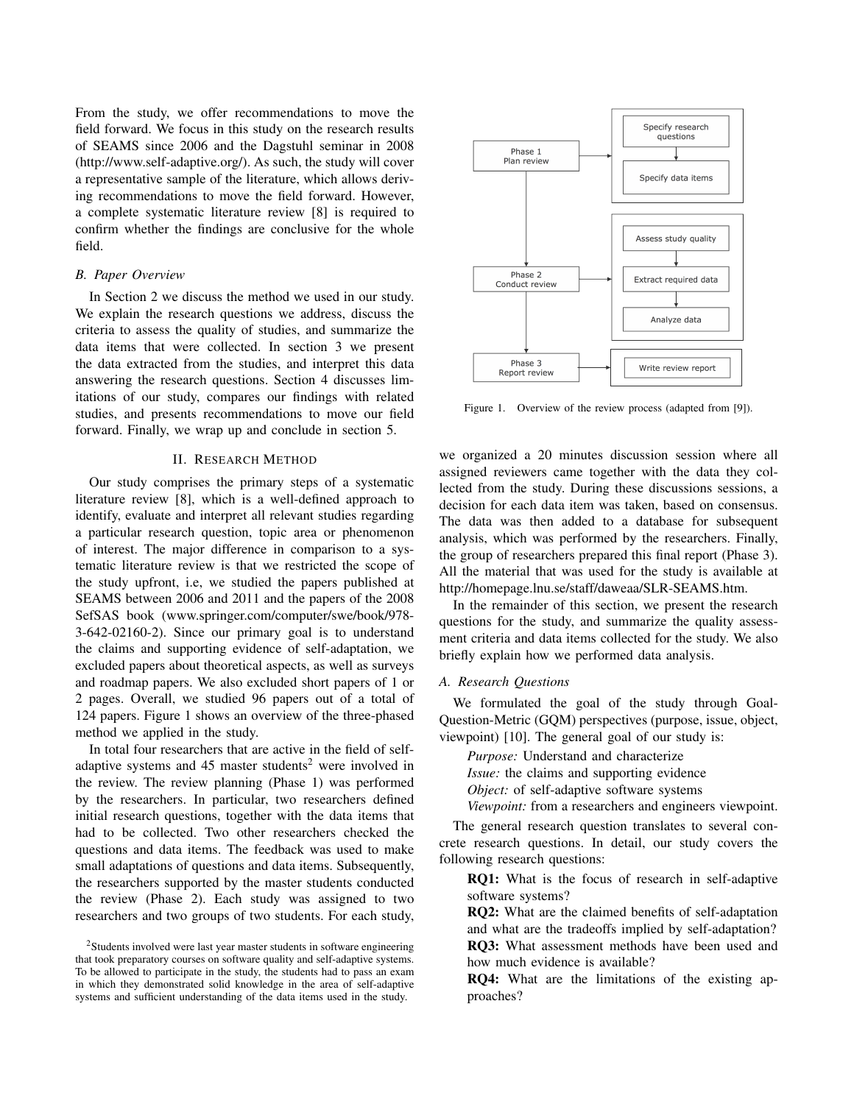From the study, we offer recommendations to move the field forward. We focus in this study on the research results of SEAMS since 2006 and the Dagstuhl seminar in 2008 (http://www.self-adaptive.org/). As such, the study will cover a representative sample of the literature, which allows deriving recommendations to move the field forward. However, a complete systematic literature review [8] is required to confirm whether the findings are conclusive for the whole field.

### *B. Paper Overview*

In Section 2 we discuss the method we used in our study. We explain the research questions we address, discuss the criteria to assess the quality of studies, and summarize the data items that were collected. In section 3 we present the data extracted from the studies, and interpret this data answering the research questions. Section 4 discusses limitations of our study, compares our findings with related studies, and presents recommendations to move our field forward. Finally, we wrap up and conclude in section 5.

### II. RESEARCH METHOD

Our study comprises the primary steps of a systematic literature review [8], which is a well-defined approach to identify, evaluate and interpret all relevant studies regarding a particular research question, topic area or phenomenon of interest. The major difference in comparison to a systematic literature review is that we restricted the scope of the study upfront, i.e, we studied the papers published at SEAMS between 2006 and 2011 and the papers of the 2008 SefSAS book (www.springer.com/computer/swe/book/978- 3-642-02160-2). Since our primary goal is to understand the claims and supporting evidence of self-adaptation, we excluded papers about theoretical aspects, as well as surveys and roadmap papers. We also excluded short papers of 1 or 2 pages. Overall, we studied 96 papers out of a total of 124 papers. Figure 1 shows an overview of the three-phased method we applied in the study.

In total four researchers that are active in the field of selfadaptive systems and  $45$  master students<sup>2</sup> were involved in the review. The review planning (Phase 1) was performed by the researchers. In particular, two researchers defined initial research questions, together with the data items that had to be collected. Two other researchers checked the questions and data items. The feedback was used to make small adaptations of questions and data items. Subsequently, the researchers supported by the master students conducted the review (Phase 2). Each study was assigned to two researchers and two groups of two students. For each study,



Figure 1. Overview of the review process (adapted from [9]).

we organized a 20 minutes discussion session where all assigned reviewers came together with the data they collected from the study. During these discussions sessions, a decision for each data item was taken, based on consensus. The data was then added to a database for subsequent analysis, which was performed by the researchers. Finally, the group of researchers prepared this final report (Phase 3). All the material that was used for the study is available at http://homepage.lnu.se/staff/daweaa/SLR-SEAMS.htm.

In the remainder of this section, we present the research questions for the study, and summarize the quality assessment criteria and data items collected for the study. We also briefly explain how we performed data analysis.

#### *A. Research Questions*

We formulated the goal of the study through Goal-Question-Metric (GQM) perspectives (purpose, issue, object, viewpoint) [10]. The general goal of our study is:

*Purpose:* Understand and characterize

*Issue:* the claims and supporting evidence

*Object:* of self-adaptive software systems

*Viewpoint:* from a researchers and engineers viewpoint.

The general research question translates to several concrete research questions. In detail, our study covers the following research questions:

RQ1: What is the focus of research in self-adaptive software systems?

RQ2: What are the claimed benefits of self-adaptation and what are the tradeoffs implied by self-adaptation? RQ3: What assessment methods have been used and how much evidence is available?

RQ4: What are the limitations of the existing approaches?

<sup>&</sup>lt;sup>2</sup>Students involved were last year master students in software engineering that took preparatory courses on software quality and self-adaptive systems. To be allowed to participate in the study, the students had to pass an exam in which they demonstrated solid knowledge in the area of self-adaptive systems and sufficient understanding of the data items used in the study.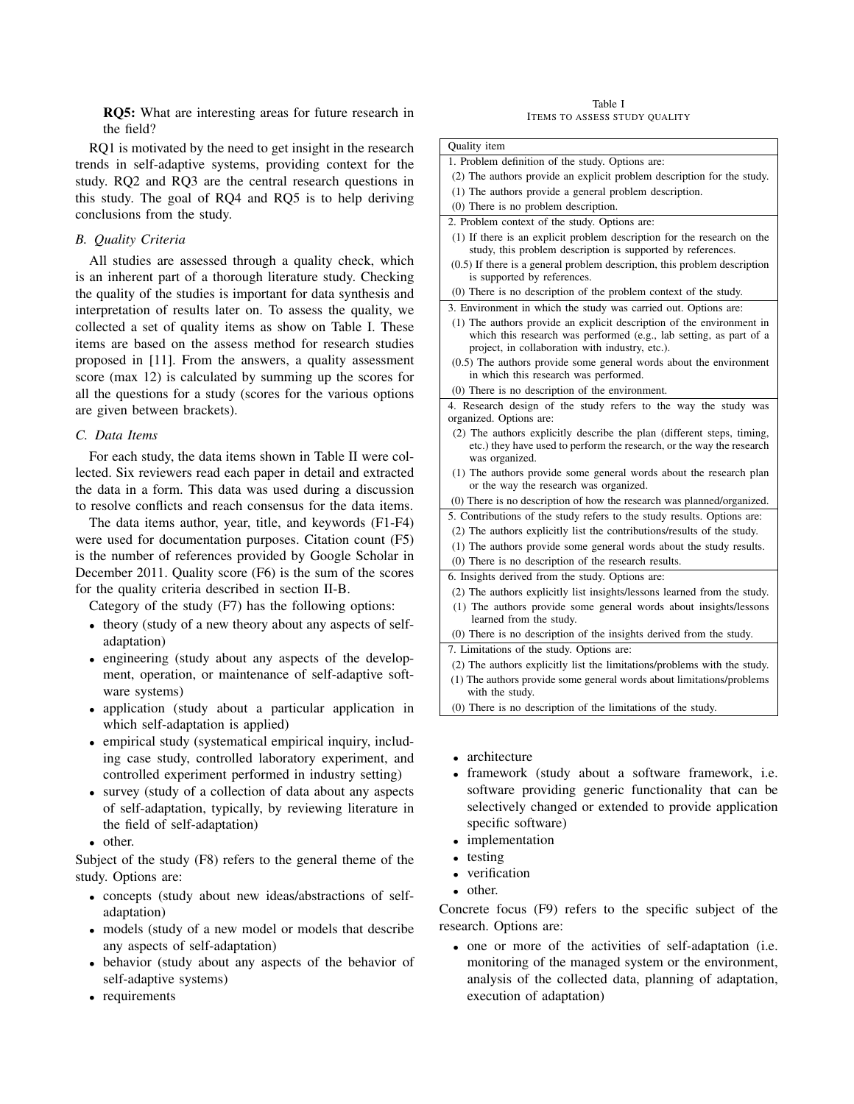RQ5: What are interesting areas for future research in the field?

RQ1 is motivated by the need to get insight in the research trends in self-adaptive systems, providing context for the study. RQ2 and RQ3 are the central research questions in this study. The goal of RQ4 and RQ5 is to help deriving conclusions from the study.

### *B. Quality Criteria*

All studies are assessed through a quality check, which is an inherent part of a thorough literature study. Checking the quality of the studies is important for data synthesis and interpretation of results later on. To assess the quality, we collected a set of quality items as show on Table I. These items are based on the assess method for research studies proposed in [11]. From the answers, a quality assessment score (max 12) is calculated by summing up the scores for all the questions for a study (scores for the various options are given between brackets).

# *C. Data Items*

For each study, the data items shown in Table II were collected. Six reviewers read each paper in detail and extracted the data in a form. This data was used during a discussion to resolve conflicts and reach consensus for the data items.

The data items author, year, title, and keywords (F1-F4) were used for documentation purposes. Citation count (F5) is the number of references provided by Google Scholar in December 2011. Quality score (F6) is the sum of the scores for the quality criteria described in section II-B.

Category of the study (F7) has the following options:

- theory (study of a new theory about any aspects of selfadaptation)
- engineering (study about any aspects of the development, operation, or maintenance of self-adaptive software systems)
- application (study about a particular application in which self-adaptation is applied)
- *•* empirical study (systematical empirical inquiry, including case study, controlled laboratory experiment, and controlled experiment performed in industry setting)
- *•* survey (study of a collection of data about any aspects of self-adaptation, typically, by reviewing literature in the field of self-adaptation)
- *•* other.

Subject of the study (F8) refers to the general theme of the study. Options are:

- *•* concepts (study about new ideas/abstractions of selfadaptation)
- models (study of a new model or models that describe any aspects of self-adaptation)
- behavior (study about any aspects of the behavior of self-adaptive systems)
- *•* requirements

Table I ITEMS TO ASSESS STUDY QUALITY

| Quality item                                                                                                                                                                                   |
|------------------------------------------------------------------------------------------------------------------------------------------------------------------------------------------------|
| 1. Problem definition of the study. Options are:                                                                                                                                               |
| (2) The authors provide an explicit problem description for the study.                                                                                                                         |
| (1) The authors provide a general problem description.                                                                                                                                         |
| (0) There is no problem description.                                                                                                                                                           |
| 2. Problem context of the study. Options are:                                                                                                                                                  |
| (1) If there is an explicit problem description for the research on the                                                                                                                        |
| study, this problem description is supported by references.                                                                                                                                    |
| $(0.5)$ If there is a general problem description, this problem description                                                                                                                    |
| is supported by references.                                                                                                                                                                    |
| (0) There is no description of the problem context of the study.                                                                                                                               |
| 3. Environment in which the study was carried out. Options are:                                                                                                                                |
| (1) The authors provide an explicit description of the environment in<br>which this research was performed (e.g., lab setting, as part of a<br>project, in collaboration with industry, etc.). |
| $(0.5)$ The authors provide some general words about the environment<br>in which this research was performed.                                                                                  |
| $(0)$ There is no description of the environment.                                                                                                                                              |
| 4. Research design of the study refers to the way the study was                                                                                                                                |
| organized. Options are:                                                                                                                                                                        |
| (2) The authors explicitly describe the plan (different steps, timing,<br>etc.) they have used to perform the research, or the way the research<br>was organized.                              |
| (1) The authors provide some general words about the research plan<br>or the way the research was organized.                                                                                   |
| (0) There is no description of how the research was planned/organized.                                                                                                                         |
| 5. Contributions of the study refers to the study results. Options are:                                                                                                                        |
| (2) The authors explicitly list the contributions/results of the study.                                                                                                                        |
| (1) The authors provide some general words about the study results.                                                                                                                            |
| (0) There is no description of the research results.                                                                                                                                           |
| 6. Insights derived from the study. Options are:                                                                                                                                               |
| (2) The authors explicitly list insights/lessons learned from the study.                                                                                                                       |
| (1) The authors provide some general words about insights/lessons<br>learned from the study.                                                                                                   |
| (0) There is no description of the insights derived from the study.                                                                                                                            |
| 7. Limitations of the study. Options are:                                                                                                                                                      |
| (2) The authors explicitly list the limitations/problems with the study.                                                                                                                       |
| (1) The authors provide some general words about limitations/problems<br>with the study.                                                                                                       |
| (0) There is no description of the limitations of the study.                                                                                                                                   |
| • architecture                                                                                                                                                                                 |

- *•* architecture
- *•* framework (study about a software framework, i.e. software providing generic functionality that can be selectively changed or extended to provide application specific software)
- *•* implementation
- *•* testing
- *•* verification
- *•* other.

Concrete focus (F9) refers to the specific subject of the research. Options are:

• one or more of the activities of self-adaptation (i.e. monitoring of the managed system or the environment, analysis of the collected data, planning of adaptation, execution of adaptation)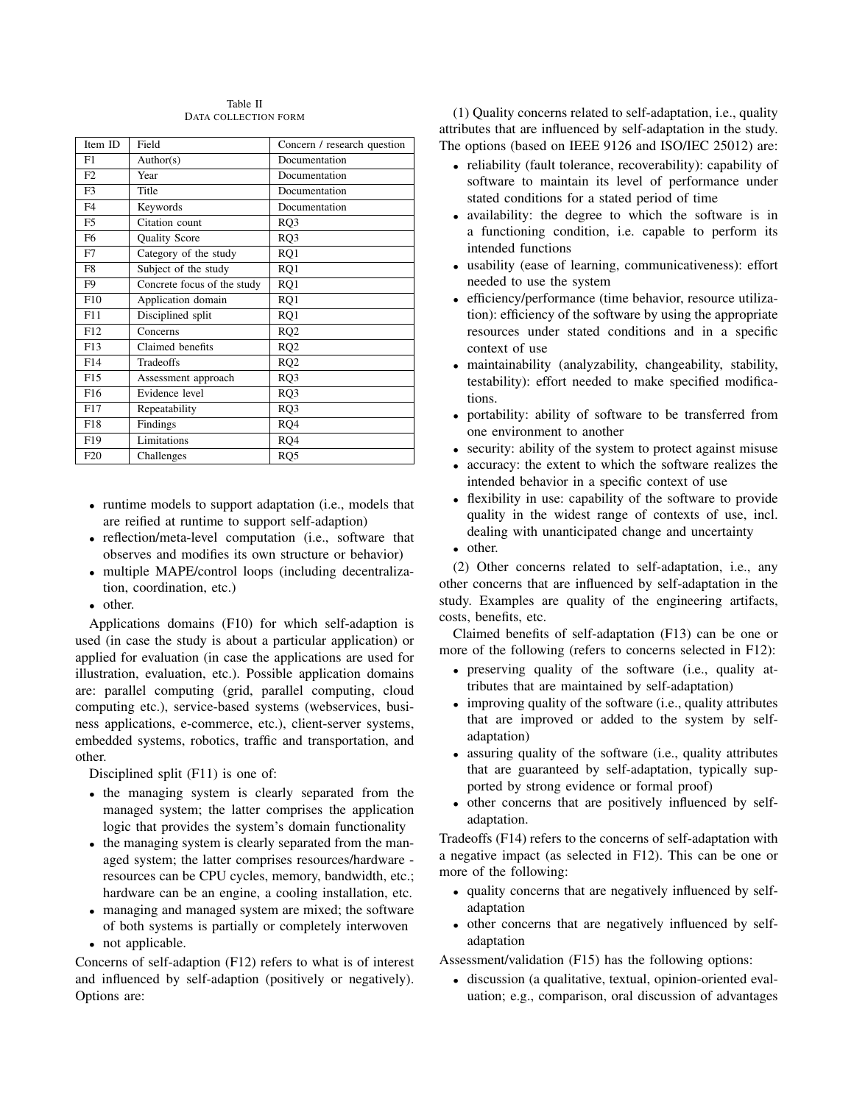Table II DATA COLLECTION FORM

| Item ID         | Field                       | Concern / research question |
|-----------------|-----------------------------|-----------------------------|
| F1              | Author(s)                   | Documentation               |
| F2              | Year                        | Documentation               |
| F <sub>3</sub>  | Title                       | Documentation               |
| F <sub>4</sub>  | Keywords                    | Documentation               |
| F <sub>5</sub>  | Citation count              | RQ3                         |
| F <sub>6</sub>  | <b>Quality Score</b>        | RQ3                         |
| F7              | Category of the study       | RQ1                         |
| F8              | Subject of the study        | RQ1                         |
| F <sub>9</sub>  | Concrete focus of the study | RQ1                         |
| F10             | Application domain          | RQ1                         |
| F11             | Disciplined split           | RQ1                         |
| F12             | Concerns                    | RQ <sub>2</sub>             |
| F13             | Claimed benefits            | RQ <sub>2</sub>             |
| F14             | Tradeoffs                   | RQ <sub>2</sub>             |
| F15             | Assessment approach         | RQ3                         |
| F <sub>16</sub> | Evidence level              | RQ3                         |
| F17             | Repeatability               | RQ3                         |
| F18             | Findings                    | RQ4                         |
| F19             | Limitations                 | RQ4                         |
| F20             | Challenges                  | RQ5                         |

- *•* runtime models to support adaptation (i.e., models that are reified at runtime to support self-adaption)
- *•* reflection/meta-level computation (i.e., software that observes and modifies its own structure or behavior)
- multiple MAPE/control loops (including decentralization, coordination, etc.)
- *•* other.

Applications domains (F10) for which self-adaption is used (in case the study is about a particular application) or applied for evaluation (in case the applications are used for illustration, evaluation, etc.). Possible application domains are: parallel computing (grid, parallel computing, cloud computing etc.), service-based systems (webservices, business applications, e-commerce, etc.), client-server systems, embedded systems, robotics, traffic and transportation, and other.

Disciplined split (F11) is one of:

- the managing system is clearly separated from the managed system; the latter comprises the application logic that provides the system's domain functionality
- *•* the managing system is clearly separated from the managed system; the latter comprises resources/hardware resources can be CPU cycles, memory, bandwidth, etc.; hardware can be an engine, a cooling installation, etc.
- *•* managing and managed system are mixed; the software of both systems is partially or completely interwoven *•* not applicable.

Concerns of self-adaption (F12) refers to what is of interest and influenced by self-adaption (positively or negatively). Options are:

(1) Quality concerns related to self-adaptation, i.e., quality attributes that are influenced by self-adaptation in the study. The options (based on IEEE 9126 and ISO/IEC 25012) are:

- reliability (fault tolerance, recoverability): capability of software to maintain its level of performance under stated conditions for a stated period of time
- *•* availability: the degree to which the software is in a functioning condition, i.e. capable to perform its intended functions
- *•* usability (ease of learning, communicativeness): effort needed to use the system
- *•* efficiency/performance (time behavior, resource utilization): efficiency of the software by using the appropriate resources under stated conditions and in a specific context of use
- maintainability (analyzability, changeability, stability, testability): effort needed to make specified modifications.
- *•* portability: ability of software to be transferred from one environment to another
- security: ability of the system to protect against misuse
- *•* accuracy: the extent to which the software realizes the intended behavior in a specific context of use
- *•* flexibility in use: capability of the software to provide quality in the widest range of contexts of use, incl. dealing with unanticipated change and uncertainty

(2) Other concerns related to self-adaptation, i.e., any other concerns that are influenced by self-adaptation in the study. Examples are quality of the engineering artifacts, costs, benefits, etc.

Claimed benefits of self-adaptation (F13) can be one or more of the following (refers to concerns selected in F12):

- *•* preserving quality of the software (i.e., quality attributes that are maintained by self-adaptation)
- *•* improving quality of the software (i.e., quality attributes that are improved or added to the system by selfadaptation)
- assuring quality of the software (i.e., quality attributes that are guaranteed by self-adaptation, typically supported by strong evidence or formal proof)
- *•* other concerns that are positively influenced by selfadaptation.

Tradeoffs (F14) refers to the concerns of self-adaptation with a negative impact (as selected in F12). This can be one or more of the following:

- *•* quality concerns that are negatively influenced by selfadaptation
- other concerns that are negatively influenced by selfadaptation

Assessment/validation (F15) has the following options:

*•* discussion (a qualitative, textual, opinion-oriented evaluation; e.g., comparison, oral discussion of advantages

*<sup>•</sup>* other.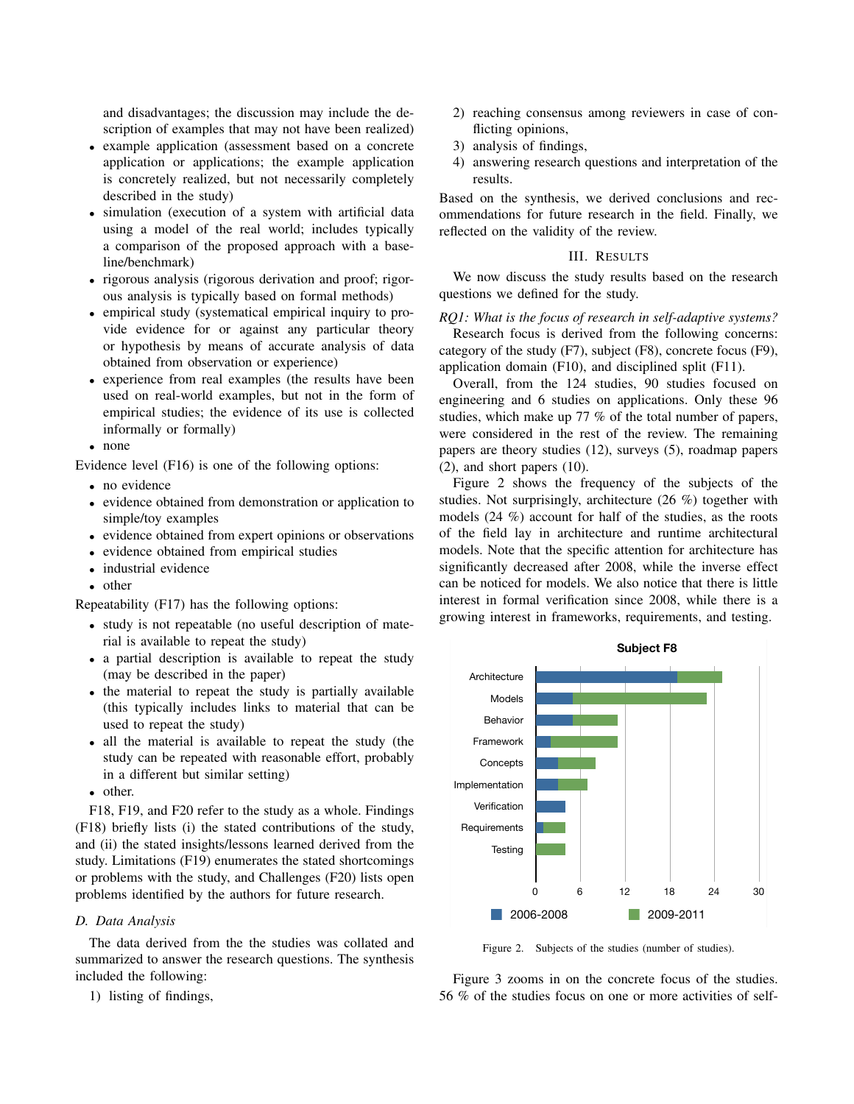and disadvantages; the discussion may include the description of examples that may not have been realized)

- *•* example application (assessment based on a concrete application or applications; the example application is concretely realized, but not necessarily completely described in the study)
- *•* simulation (execution of a system with artificial data using a model of the real world; includes typically a comparison of the proposed approach with a baseline/benchmark)
- rigorous analysis (rigorous derivation and proof; rigorous analysis is typically based on formal methods)
- *•* empirical study (systematical empirical inquiry to provide evidence for or against any particular theory or hypothesis by means of accurate analysis of data obtained from observation or experience)
- *•* experience from real examples (the results have been used on real-world examples, but not in the form of empirical studies; the evidence of its use is collected informally or formally)
- *•* none

Evidence level (F16) is one of the following options:

- *•* no evidence
- *•* evidence obtained from demonstration or application to simple/toy examples
- *•* evidence obtained from expert opinions or observations
- *•* evidence obtained from empirical studies
- *•* industrial evidence
- *•* other

Repeatability (F17) has the following options:

- *•* study is not repeatable (no useful description of material is available to repeat the study)
- *•* a partial description is available to repeat the study (may be described in the paper)
- the material to repeat the study is partially available (this typically includes links to material that can be used to repeat the study)
- *•* all the material is available to repeat the study (the study can be repeated with reasonable effort, probably in a different but similar setting)
- *•* other.

F18, F19, and F20 refer to the study as a whole. Findings (F18) briefly lists (i) the stated contributions of the study, and (ii) the stated insights/lessons learned derived from the study. Limitations (F19) enumerates the stated shortcomings or problems with the study, and Challenges (F20) lists open problems identified by the authors for future research.

# *D. Data Analysis*

The data derived from the the studies was collated and summarized to answer the research questions. The synthesis included the following:

1) listing of findings,

- 2) reaching consensus among reviewers in case of conflicting opinions,
- 3) analysis of findings,
- 4) answering research questions and interpretation of the results.

Based on the synthesis, we derived conclusions and recommendations for future research in the field. Finally, we reflected on the validity of the review.

#### III. RESULTS

We now discuss the study results based on the research questions we defined for the study.

#### *RQ1: What is the focus of research in self-adaptive systems?*

Research focus is derived from the following concerns: category of the study (F7), subject (F8), concrete focus (F9), application domain (F10), and disciplined split (F11).

Overall, from the 124 studies, 90 studies focused on engineering and 6 studies on applications. Only these 96 studies, which make up 77 % of the total number of papers, were considered in the rest of the review. The remaining papers are theory studies (12), surveys (5), roadmap papers (2), and short papers (10).

Figure 2 shows the frequency of the subjects of the studies. Not surprisingly, architecture (26 %) together with models (24 %) account for half of the studies, as the roots of the field lay in architecture and runtime architectural models. Note that the specific attention for architecture has significantly decreased after 2008, while the inverse effect can be noticed for models. We also notice that there is little interest in formal verification since 2008, while there is a growing interest in frameworks, requirements, and testing.



Figure 2. Subjects of the studies (number of studies).

Figure 3 zooms in on the concrete focus of the studies. 56 % of the studies focus on one or more activities of self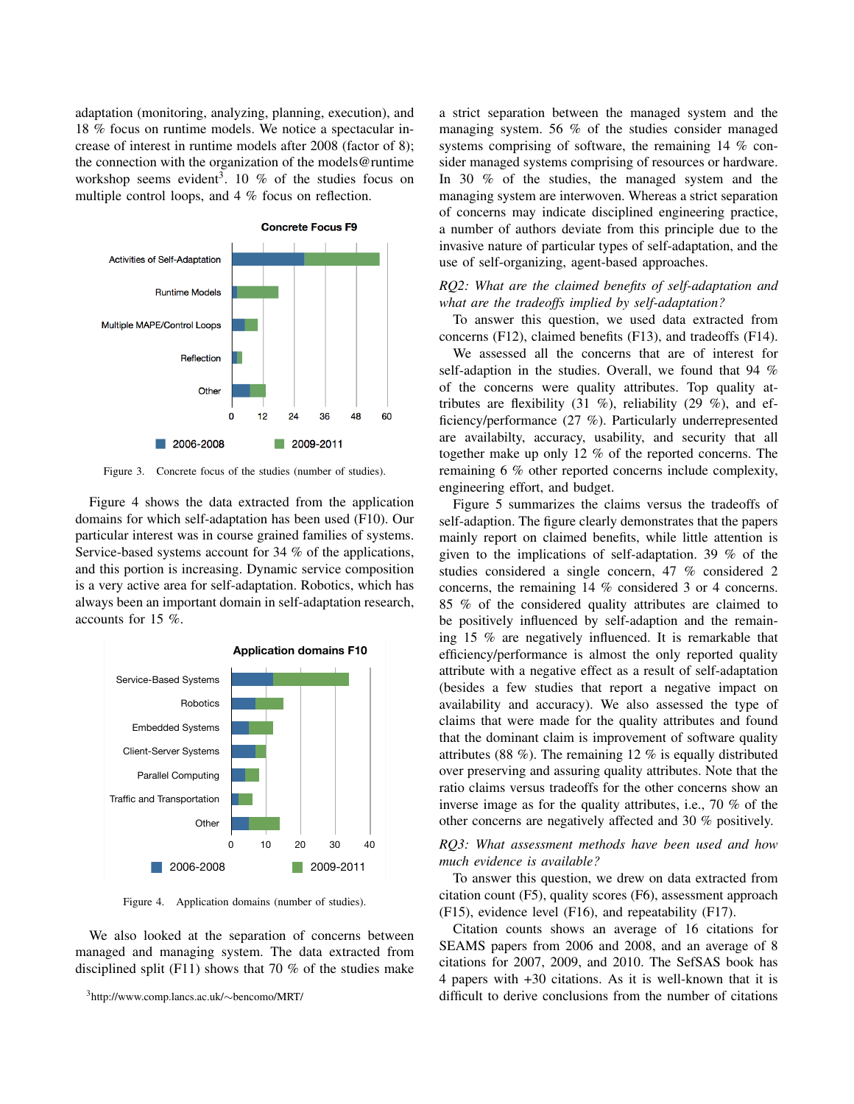adaptation (monitoring, analyzing, planning, execution), and 18 % focus on runtime models. We notice a spectacular increase of interest in runtime models after 2008 (factor of 8); the connection with the organization of the models@runtime workshop seems evident<sup>3</sup>. 10 % of the studies focus on multiple control loops, and 4 % focus on reflection.



Figure 3. Concrete focus of the studies (number of studies).

Figure 4 shows the data extracted from the application domains for which self-adaptation has been used (F10). Our particular interest was in course grained families of systems. Service-based systems account for 34 % of the applications, and this portion is increasing. Dynamic service composition is a very active area for self-adaptation. Robotics, which has always been an important domain in self-adaptation research, accounts for 15 %.



Figure 4. Application domains (number of studies).

We also looked at the separation of concerns between managed and managing system. The data extracted from disciplined split (F11) shows that 70 % of the studies make

3http://www.comp.lancs.ac.uk/∼bencomo/MRT/

a strict separation between the managed system and the managing system. 56 % of the studies consider managed systems comprising of software, the remaining 14 % consider managed systems comprising of resources or hardware. In 30 % of the studies, the managed system and the managing system are interwoven. Whereas a strict separation of concerns may indicate disciplined engineering practice, a number of authors deviate from this principle due to the invasive nature of particular types of self-adaptation, and the use of self-organizing, agent-based approaches.

# *RQ2: What are the claimed benefits of self-adaptation and what are the tradeoffs implied by self-adaptation?*

To answer this question, we used data extracted from concerns (F12), claimed benefits (F13), and tradeoffs (F14).

We assessed all the concerns that are of interest for self-adaption in the studies. Overall, we found that 94 % of the concerns were quality attributes. Top quality attributes are flexibility  $(31 \%)$ , reliability  $(29 \%)$ , and efficiency/performance (27 %). Particularly underrepresented are availabilty, accuracy, usability, and security that all together make up only 12 % of the reported concerns. The remaining 6 % other reported concerns include complexity, engineering effort, and budget.

Figure 5 summarizes the claims versus the tradeoffs of self-adaption. The figure clearly demonstrates that the papers mainly report on claimed benefits, while little attention is given to the implications of self-adaptation. 39 % of the studies considered a single concern, 47 % considered 2 concerns, the remaining 14 % considered 3 or 4 concerns. 85 % of the considered quality attributes are claimed to be positively influenced by self-adaption and the remaining 15 % are negatively influenced. It is remarkable that efficiency/performance is almost the only reported quality attribute with a negative effect as a result of self-adaptation (besides a few studies that report a negative impact on availability and accuracy). We also assessed the type of claims that were made for the quality attributes and found that the dominant claim is improvement of software quality attributes (88 %). The remaining 12 % is equally distributed over preserving and assuring quality attributes. Note that the ratio claims versus tradeoffs for the other concerns show an inverse image as for the quality attributes, i.e., 70 % of the other concerns are negatively affected and 30 % positively.

# *RQ3: What assessment methods have been used and how much evidence is available?*

To answer this question, we drew on data extracted from citation count (F5), quality scores (F6), assessment approach (F15), evidence level (F16), and repeatability (F17).

Citation counts shows an average of 16 citations for SEAMS papers from 2006 and 2008, and an average of 8 citations for 2007, 2009, and 2010. The SefSAS book has 4 papers with +30 citations. As it is well-known that it is difficult to derive conclusions from the number of citations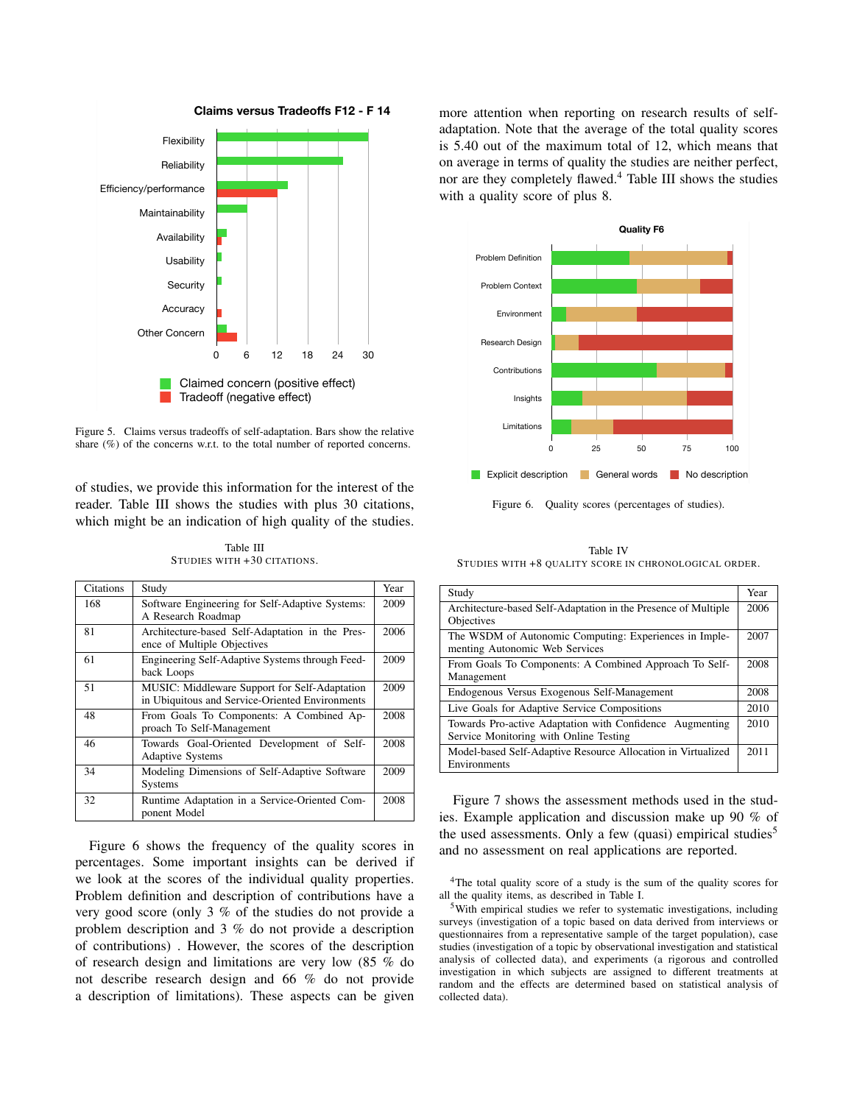

Figure 5. Claims versus tradeoffs of self-adaptation. Bars show the relative share (%) of the concerns w.r.t. to the total number of reported concerns.

of studies, we provide this information for the interest of the reader. Table III shows the studies with plus 30 citations, which might be an indication of high quality of the studies.

Table III STUDIES WITH +30 CITATIONS.

| Citations | Study                                                                                                   | Year |
|-----------|---------------------------------------------------------------------------------------------------------|------|
| 168       | Software Engineering for Self-Adaptive Systems:<br>A Research Roadmap                                   | 2009 |
| 81        | Architecture-based Self-Adaptation in the Pres-<br>ence of Multiple Objectives                          | 2006 |
| 61        | Engineering Self-Adaptive Systems through Feed-<br>back Loops                                           | 2009 |
| 51        | <b>MUSIC: Middleware Support for Self-Adaptation</b><br>in Ubiquitous and Service-Oriented Environments | 2009 |
| 48        | From Goals To Components: A Combined Ap-<br>proach To Self-Management                                   | 2008 |
| 46        | Towards Goal-Oriented Development of Self-<br><b>Adaptive Systems</b>                                   | 2008 |
| 34        | Modeling Dimensions of Self-Adaptive Software<br>Systems                                                | 2009 |
| 32        | Runtime Adaptation in a Service-Oriented Com-<br>ponent Model                                           | 2008 |

Figure 6 shows the frequency of the quality scores in percentages. Some important insights can be derived if we look at the scores of the individual quality properties. Problem definition and description of contributions have a very good score (only 3 % of the studies do not provide a problem description and 3 % do not provide a description of contributions) . However, the scores of the description of research design and limitations are very low (85 % do not describe research design and 66 % do not provide a description of limitations). These aspects can be given more attention when reporting on research results of selfadaptation. Note that the average of the total quality scores is 5.40 out of the maximum total of 12, which means that on average in terms of quality the studies are neither perfect, nor are they completely flawed.<sup>4</sup> Table III shows the studies with a quality score of plus 8.



Figure 6. Quality scores (percentages of studies).

Table IV STUDIES WITH +8 QUALITY SCORE IN CHRONOLOGICAL ORDER.

| Study                                                                                              | Year |
|----------------------------------------------------------------------------------------------------|------|
| Architecture-based Self-Adaptation in the Presence of Multiple<br>Objectives                       | 2006 |
| The WSDM of Autonomic Computing: Experiences in Imple-<br>menting Autonomic Web Services           | 2007 |
| From Goals To Components: A Combined Approach To Self-<br>Management                               | 2008 |
| Endogenous Versus Exogenous Self-Management                                                        | 2008 |
| Live Goals for Adaptive Service Compositions                                                       | 2010 |
| Towards Pro-active Adaptation with Confidence Augmenting<br>Service Monitoring with Online Testing | 2010 |
| Model-based Self-Adaptive Resource Allocation in Virtualized<br>Environments                       | 2011 |

Figure 7 shows the assessment methods used in the studies. Example application and discussion make up 90 % of the used assessments. Only a few (quasi) empirical studies<sup>5</sup> and no assessment on real applications are reported.

<sup>4</sup>The total quality score of a study is the sum of the quality scores for all the quality items, as described in Table I.

5With empirical studies we refer to systematic investigations, including surveys (investigation of a topic based on data derived from interviews or questionnaires from a representative sample of the target population), case studies (investigation of a topic by observational investigation and statistical analysis of collected data), and experiments (a rigorous and controlled investigation in which subjects are assigned to different treatments at random and the effects are determined based on statistical analysis of collected data).

#### **Claims versus Tradeoffs F12 - F 14**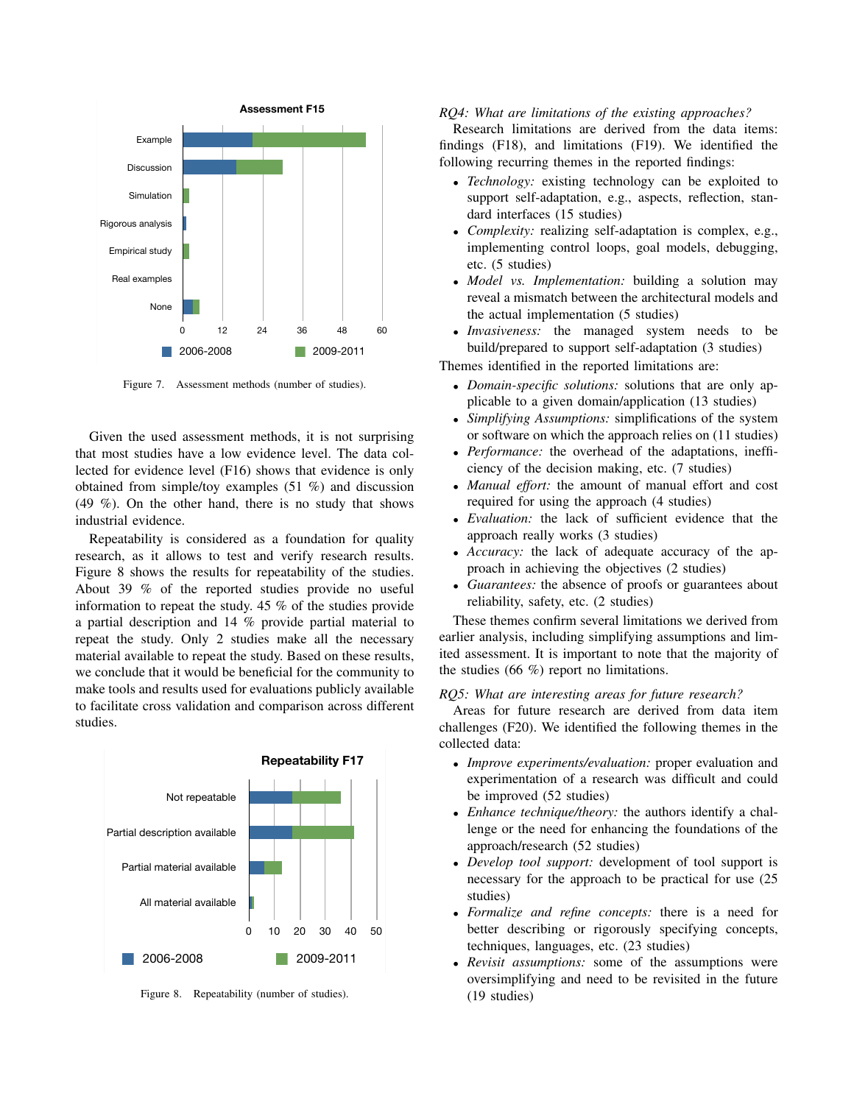

Figure 7. Assessment methods (number of studies).

Given the used assessment methods, it is not surprising that most studies have a low evidence level. The data collected for evidence level (F16) shows that evidence is only obtained from simple/toy examples (51 %) and discussion (49 %). On the other hand, there is no study that shows industrial evidence.

Repeatability is considered as a foundation for quality research, as it allows to test and verify research results. Figure 8 shows the results for repeatability of the studies. About 39 % of the reported studies provide no useful information to repeat the study. 45 % of the studies provide a partial description and 14 % provide partial material to repeat the study. Only 2 studies make all the necessary material available to repeat the study. Based on these results, we conclude that it would be beneficial for the community to make tools and results used for evaluations publicly available to facilitate cross validation and comparison across different studies.



Figure 8. Repeatability (number of studies).

#### *RQ4: What are limitations of the existing approaches?*

Research limitations are derived from the data items: findings (F18), and limitations (F19). We identified the following recurring themes in the reported findings:

- *Technology:* existing technology can be exploited to support self-adaptation, e.g., aspects, reflection, standard interfaces (15 studies)
- *• Complexity:* realizing self-adaptation is complex, e.g., implementing control loops, goal models, debugging, etc. (5 studies)
- *• Model vs. Implementation:* building a solution may reveal a mismatch between the architectural models and the actual implementation (5 studies)
- *Invasiveness:* the managed system needs to be build/prepared to support self-adaptation (3 studies)

Themes identified in the reported limitations are:

- *• Domain-specific solutions:* solutions that are only applicable to a given domain/application (13 studies)
- *• Simplifying Assumptions:* simplifications of the system or software on which the approach relies on (11 studies)
- *• Performance:* the overhead of the adaptations, inefficiency of the decision making, etc. (7 studies)
- *• Manual effort:* the amount of manual effort and cost required for using the approach (4 studies)
- *• Evaluation:* the lack of sufficient evidence that the approach really works (3 studies)
- *• Accuracy:* the lack of adequate accuracy of the approach in achieving the objectives (2 studies)
- *• Guarantees:* the absence of proofs or guarantees about reliability, safety, etc. (2 studies)

These themes confirm several limitations we derived from earlier analysis, including simplifying assumptions and limited assessment. It is important to note that the majority of the studies (66 %) report no limitations.

# *RQ5: What are interesting areas for future research?*

Areas for future research are derived from data item challenges (F20). We identified the following themes in the collected data:

- *• Improve experiments/evaluation:* proper evaluation and experimentation of a research was difficult and could be improved (52 studies)
- *• Enhance technique/theory:* the authors identify a challenge or the need for enhancing the foundations of the approach/research (52 studies)
- *• Develop tool support:* development of tool support is necessary for the approach to be practical for use (25 studies)
- *• Formalize and refine concepts:* there is a need for better describing or rigorously specifying concepts, techniques, languages, etc. (23 studies)
- *• Revisit assumptions:* some of the assumptions were oversimplifying and need to be revisited in the future (19 studies)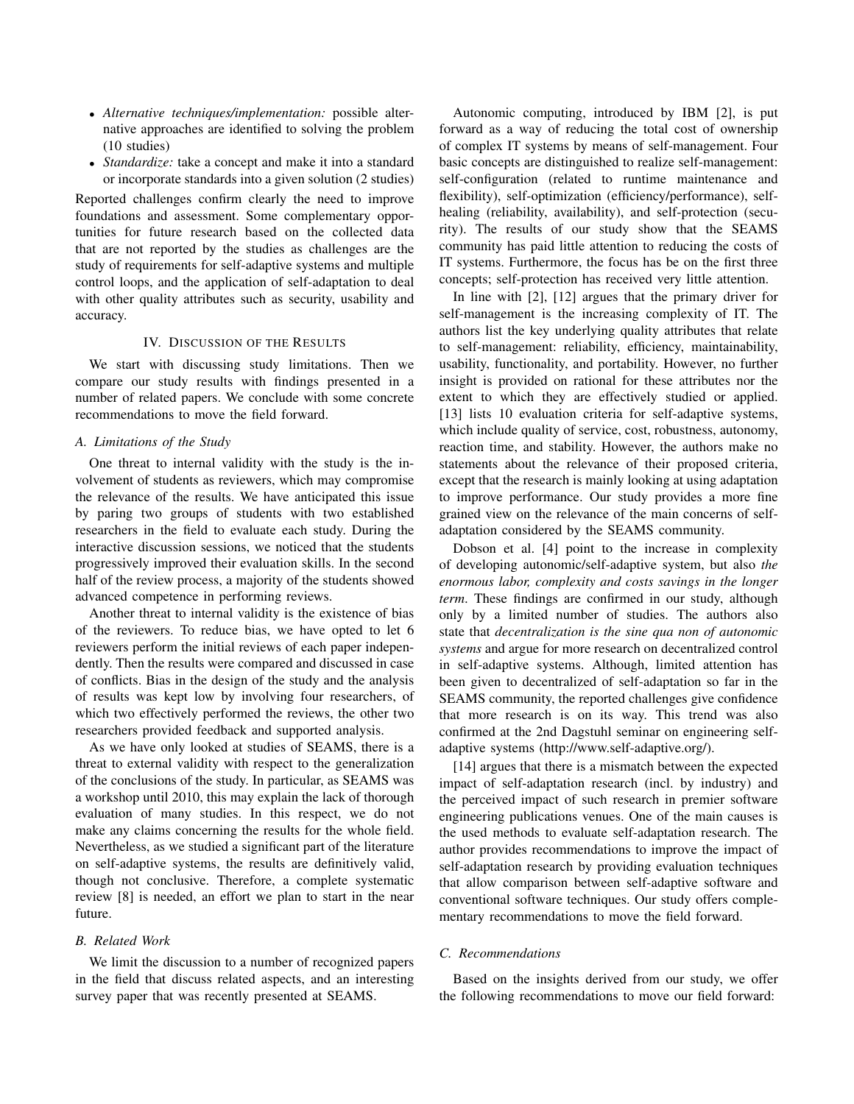- *• Alternative techniques/implementation:* possible alternative approaches are identified to solving the problem (10 studies)
- *• Standardize:* take a concept and make it into a standard or incorporate standards into a given solution (2 studies)

Reported challenges confirm clearly the need to improve foundations and assessment. Some complementary opportunities for future research based on the collected data that are not reported by the studies as challenges are the study of requirements for self-adaptive systems and multiple control loops, and the application of self-adaptation to deal with other quality attributes such as security, usability and accuracy.

### IV. DISCUSSION OF THE RESULTS

We start with discussing study limitations. Then we compare our study results with findings presented in a number of related papers. We conclude with some concrete recommendations to move the field forward.

### *A. Limitations of the Study*

One threat to internal validity with the study is the involvement of students as reviewers, which may compromise the relevance of the results. We have anticipated this issue by paring two groups of students with two established researchers in the field to evaluate each study. During the interactive discussion sessions, we noticed that the students progressively improved their evaluation skills. In the second half of the review process, a majority of the students showed advanced competence in performing reviews.

Another threat to internal validity is the existence of bias of the reviewers. To reduce bias, we have opted to let 6 reviewers perform the initial reviews of each paper independently. Then the results were compared and discussed in case of conflicts. Bias in the design of the study and the analysis of results was kept low by involving four researchers, of which two effectively performed the reviews, the other two researchers provided feedback and supported analysis.

As we have only looked at studies of SEAMS, there is a threat to external validity with respect to the generalization of the conclusions of the study. In particular, as SEAMS was a workshop until 2010, this may explain the lack of thorough evaluation of many studies. In this respect, we do not make any claims concerning the results for the whole field. Nevertheless, as we studied a significant part of the literature on self-adaptive systems, the results are definitively valid, though not conclusive. Therefore, a complete systematic review [8] is needed, an effort we plan to start in the near future.

# *B. Related Work*

We limit the discussion to a number of recognized papers in the field that discuss related aspects, and an interesting survey paper that was recently presented at SEAMS.

Autonomic computing, introduced by IBM [2], is put forward as a way of reducing the total cost of ownership of complex IT systems by means of self-management. Four basic concepts are distinguished to realize self-management: self-configuration (related to runtime maintenance and flexibility), self-optimization (efficiency/performance), selfhealing (reliability, availability), and self-protection (security). The results of our study show that the SEAMS community has paid little attention to reducing the costs of IT systems. Furthermore, the focus has be on the first three concepts; self-protection has received very little attention.

In line with [2], [12] argues that the primary driver for self-management is the increasing complexity of IT. The authors list the key underlying quality attributes that relate to self-management: reliability, efficiency, maintainability, usability, functionality, and portability. However, no further insight is provided on rational for these attributes nor the extent to which they are effectively studied or applied. [13] lists 10 evaluation criteria for self-adaptive systems, which include quality of service, cost, robustness, autonomy, reaction time, and stability. However, the authors make no statements about the relevance of their proposed criteria, except that the research is mainly looking at using adaptation to improve performance. Our study provides a more fine grained view on the relevance of the main concerns of selfadaptation considered by the SEAMS community.

Dobson et al. [4] point to the increase in complexity of developing autonomic/self-adaptive system, but also *the enormous labor, complexity and costs savings in the longer term*. These findings are confirmed in our study, although only by a limited number of studies. The authors also state that *decentralization is the sine qua non of autonomic systems* and argue for more research on decentralized control in self-adaptive systems. Although, limited attention has been given to decentralized of self-adaptation so far in the SEAMS community, the reported challenges give confidence that more research is on its way. This trend was also confirmed at the 2nd Dagstuhl seminar on engineering selfadaptive systems (http://www.self-adaptive.org/).

[14] argues that there is a mismatch between the expected impact of self-adaptation research (incl. by industry) and the perceived impact of such research in premier software engineering publications venues. One of the main causes is the used methods to evaluate self-adaptation research. The author provides recommendations to improve the impact of self-adaptation research by providing evaluation techniques that allow comparison between self-adaptive software and conventional software techniques. Our study offers complementary recommendations to move the field forward.

#### *C. Recommendations*

Based on the insights derived from our study, we offer the following recommendations to move our field forward: